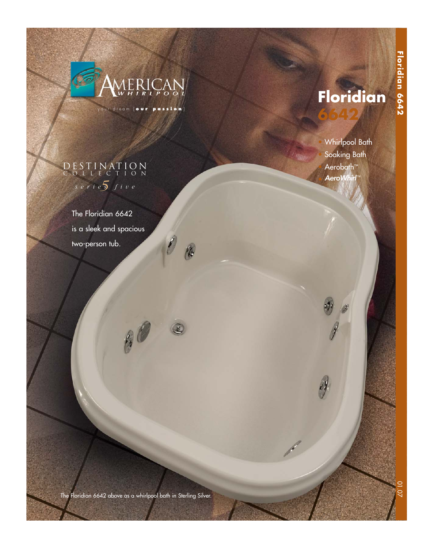

your dream [ **our passion** ]

16

0

# **Floridian**

**CONTRACTOR** 

**6642**

**Hispany** 

**Floridian 6642**

Floridian 6642

• Whirlpool Bath Soaking Bath Aerobath<sup>™</sup> AeroWhirl

# *5 series five* DESTINATION COLLECTION

The Floridian 6642 is a sleek and spacious two-person tub.

The Floridian 6642 above as a whirlpool bath in Sterling Silver.

 $\theta$